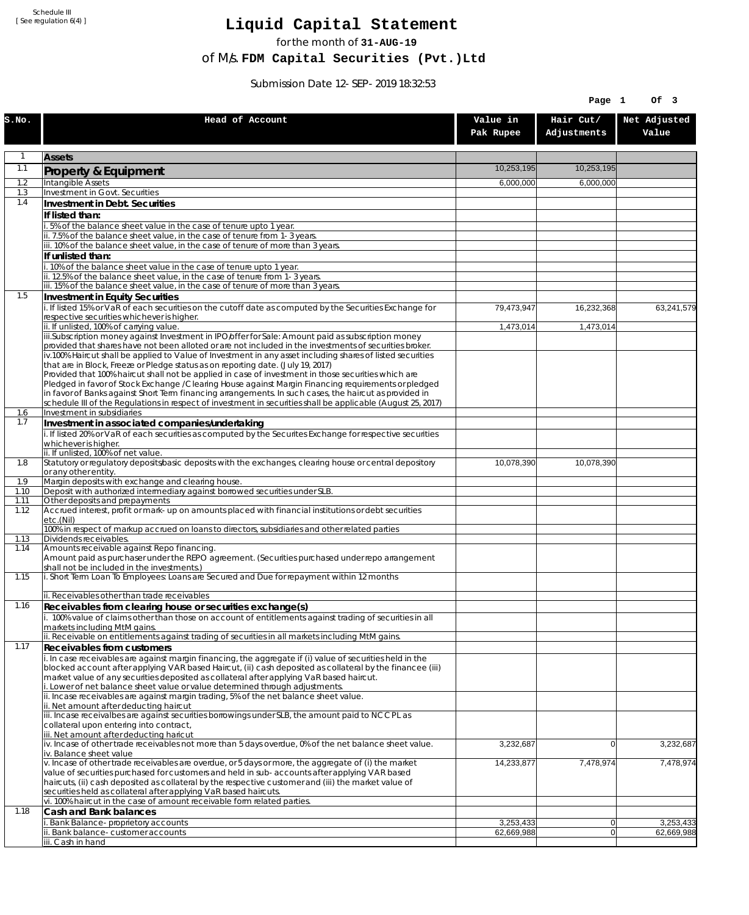Schedule III [ See regulation 6(4) ]

## **Liquid Capital Statement**

for the month of **31-AUG-19**

of M/s. **FDM Capital Securities (Pvt.)Ltd**

Submission Date 12-SEP-2019 18:32:53

|             |                                                                                                                                                                                                                        |                         | Page 1                   | Of 3                    |
|-------------|------------------------------------------------------------------------------------------------------------------------------------------------------------------------------------------------------------------------|-------------------------|--------------------------|-------------------------|
| S.NO.       | Head of Account                                                                                                                                                                                                        | Value in<br>Pak Rupee   | Hair Cut/<br>Adjustments | Net Adjusted<br>Value   |
| 1           | <b>Assets</b>                                                                                                                                                                                                          |                         |                          |                         |
| 1.1         | Property & Equipment                                                                                                                                                                                                   | 10,253,195              | 10,253,195               |                         |
| 1.2         | Intangible Assets                                                                                                                                                                                                      | 6,000,000               | 6,000,000                |                         |
| 1.3<br>1.4  | Investment in Govt. Securities<br>Investment in Debt. Securities                                                                                                                                                       |                         |                          |                         |
|             | If listed than:                                                                                                                                                                                                        |                         |                          |                         |
|             | 5% of the balance sheet value in the case of tenure upto 1 year.                                                                                                                                                       |                         |                          |                         |
|             | ii. 7.5% of the balance sheet value, in the case of tenure from 1-3 years.<br>iii. 10% of the balance sheet value, in the case of tenure of more than 3 years.                                                         |                         |                          |                         |
|             | If unlisted than:                                                                                                                                                                                                      |                         |                          |                         |
|             | . 10% of the balance sheet value in the case of tenure upto 1 year.                                                                                                                                                    |                         |                          |                         |
|             | ii. 12.5% of the balance sheet value, in the case of tenure from 1-3 years.<br>iii. 15% of the balance sheet value, in the case of tenure of more than 3 years.                                                        |                         |                          |                         |
| 1.5         | Investment in Equity Securities                                                                                                                                                                                        |                         |                          |                         |
|             | i. If listed 15% or VaR of each securities on the cutoff date as computed by the Securities Exchange for                                                                                                               | 79,473,947              | 16,232,368               | 63,241,579              |
|             | respective securities whichever is higher.<br>ii. If unlisted, 100% of carrying value.                                                                                                                                 | 1,473,014               | 1,473,014                |                         |
|             | iii.Subscription money against Investment in IPO/offer for Sale: Amount paid as subscription money                                                                                                                     |                         |                          |                         |
|             | provided that shares have not been alloted or are not included in the investments of securities broker.<br>iv.100% Haircut shall be applied to Value of Investment in any asset including shares of listed securities  |                         |                          |                         |
|             | that are in Block, Freeze or Pledge status as on reporting date. (July 19, 2017)                                                                                                                                       |                         |                          |                         |
|             | Provided that 100% haircut shall not be applied in case of investment in those securities which are                                                                                                                    |                         |                          |                         |
|             | Pledged in favor of Stock Exchange / Clearing House against Margin Financing requirements or pledged<br>in favor of Banks against Short Term financing arrangements. In such cases, the haircut as provided in         |                         |                          |                         |
|             | schedule III of the Regulations in respect of investment in securities shall be applicable (August 25, 2017)                                                                                                           |                         |                          |                         |
| 1.6<br>1.7  | Investment in subsidiaries                                                                                                                                                                                             |                         |                          |                         |
|             | Investment in associated companies/undertaking<br>i. If listed 20% or VaR of each securities as computed by the Securites Exchange for respective securities                                                           |                         |                          |                         |
|             | whichever is higher.                                                                                                                                                                                                   |                         |                          |                         |
| 1.8         | ii. If unlisted, 100% of net value.<br>Statutory or regulatory deposits/basic deposits with the exchanges, clearing house or central depository                                                                        | 10,078,390              | 10,078,390               |                         |
|             | or any other entity.                                                                                                                                                                                                   |                         |                          |                         |
| 1.9<br>1.10 | Margin deposits with exchange and clearing house.<br>Deposit with authorized intermediary against borrowed securities under SLB.                                                                                       |                         |                          |                         |
| 1.11        | Other deposits and prepayments                                                                                                                                                                                         |                         |                          |                         |
| 1.12        | Accrued interest, profit or mark-up on amounts placed with financial institutions or debt securities<br>etc.(Nil)                                                                                                      |                         |                          |                         |
|             | 100% in respect of markup accrued on loans to directors, subsidiaries and other related parties                                                                                                                        |                         |                          |                         |
| 1.13        | Dividends receivables.                                                                                                                                                                                                 |                         |                          |                         |
| 1.14        | Amounts receivable against Repo financing.<br>Amount paid as purchaser under the REPO agreement. (Securities purchased under repo arrangement                                                                          |                         |                          |                         |
|             | shall not be included in the investments.)                                                                                                                                                                             |                         |                          |                         |
| 1.15        | i. Short Term Loan To Employees: Loans are Secured and Due for repayment within 12 months                                                                                                                              |                         |                          |                         |
|             | ii. Receivables other than trade receivables                                                                                                                                                                           |                         |                          |                         |
| 1.16        | Receivables from clearing house or securities exchange(s)                                                                                                                                                              |                         |                          |                         |
|             | i. 100% value of claims other than those on account of entitlements against trading of securities in all<br>markets including MtM gains.                                                                               |                         |                          |                         |
|             | ii. Receivable on entitlements against trading of securities in all markets including MtM gains.                                                                                                                       |                         |                          |                         |
| 1.17        | Receivables from customers                                                                                                                                                                                             |                         |                          |                         |
|             | i. In case receivables are against margin financing, the aggregate if (i) value of securities held in the<br>blocked account after applying VAR based Haircut, (ii) cash deposited as collateral by the financee (iii) |                         |                          |                         |
|             | market value of any securities deposited as collateral after applying VaR based haircut.                                                                                                                               |                         |                          |                         |
|             | i. Lower of net balance sheet value or value determined through adjustments.<br>ii. Incase receivables are against margin trading, 5% of the net balance sheet value.                                                  |                         |                          |                         |
|             | ii. Net amount after deducting haircut                                                                                                                                                                                 |                         |                          |                         |
|             | iii. Incase receivalbes are against securities borrowings under SLB, the amount paid to NCCPL as<br>collateral upon entering into contract,                                                                            |                         |                          |                         |
|             | iii. Net amount after deducting haricut                                                                                                                                                                                |                         |                          |                         |
|             | iv. Incase of other trade receivables not more than 5 days overdue, 0% of the net balance sheet value.<br>iv. Balance sheet value                                                                                      | 3,232,687               | $\overline{0}$           | 3,232,687               |
|             | v. Incase of other trade receivables are overdue, or 5 days or more, the aggregate of (i) the market                                                                                                                   | 14,233,877              | 7,478,974                | 7,478,974               |
|             | value of securities purchased for customers and held in sub-accounts after applying VAR based                                                                                                                          |                         |                          |                         |
|             | haircuts, (ii) cash deposited as collateral by the respective customer and (iii) the market value of<br>securities held as collateral after applying VaR based haircuts.                                               |                         |                          |                         |
|             | vi. 100% haircut in the case of amount receivable form related parties.                                                                                                                                                |                         |                          |                         |
| 1.18        | Cash and Bank balances                                                                                                                                                                                                 |                         |                          |                         |
|             | i. Bank Balance-proprietory accounts<br>Bank balance-customer accounts                                                                                                                                                 | 3,253,433<br>62,669,988 | 0 <br>$\overline{0}$     | 3,253,433<br>62,669,988 |
|             | iii. Cash in hand                                                                                                                                                                                                      |                         |                          |                         |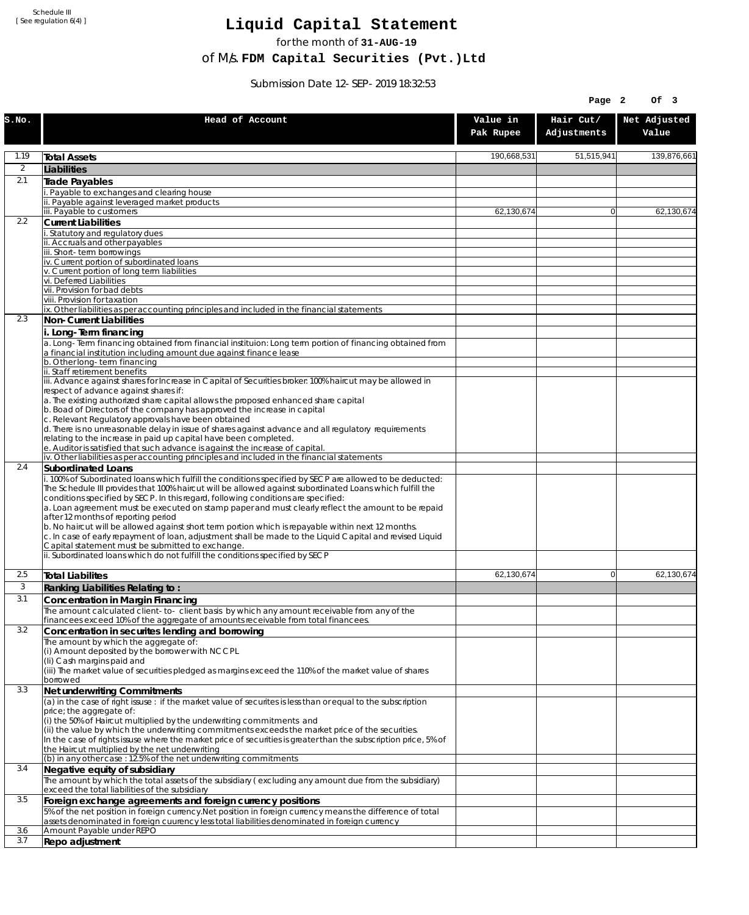Schedule III [ See regulation 6(4) ]

## **Liquid Capital Statement**

for the month of **31-AUG-19**

of M/s. **FDM Capital Securities (Pvt.)Ltd**

Submission Date 12-SEP-2019 18:32:53

|       |                                                                                                                                                                                                                                                 |                       | Page 2                   | Of 3                  |
|-------|-------------------------------------------------------------------------------------------------------------------------------------------------------------------------------------------------------------------------------------------------|-----------------------|--------------------------|-----------------------|
| S.NO. | Head of Account                                                                                                                                                                                                                                 | Value in<br>Pak Rupee | Hair Cut/<br>Adjustments | Net Adjusted<br>Value |
| 1.19  | <b>Total Assets</b>                                                                                                                                                                                                                             | 190,668,531           | 51,515,941               | 139,876,661           |
| 2     | Liabilities                                                                                                                                                                                                                                     |                       |                          |                       |
| 2.1   | Trade Payables                                                                                                                                                                                                                                  |                       |                          |                       |
|       | Payable to exchanges and clearing house<br>ii. Payable against leveraged market products                                                                                                                                                        |                       |                          |                       |
|       | iii. Payable to customers                                                                                                                                                                                                                       | 62,130,674            | $\overline{0}$           | 62,130,674            |
| 2.2   | <b>Current Liabilities</b>                                                                                                                                                                                                                      |                       |                          |                       |
|       | . Statutory and regulatory dues<br>ii. Accruals and other payables                                                                                                                                                                              |                       |                          |                       |
|       | iii. Short-term borrowings                                                                                                                                                                                                                      |                       |                          |                       |
|       | iv. Current portion of subordinated loans                                                                                                                                                                                                       |                       |                          |                       |
|       | v. Current portion of long term liabilities<br>vi. Deferred Liabilities                                                                                                                                                                         |                       |                          |                       |
|       | vii. Provision for bad debts                                                                                                                                                                                                                    |                       |                          |                       |
|       | viii. Provision for taxation                                                                                                                                                                                                                    |                       |                          |                       |
| 2.3   | ix. Other liabilities as per accounting principles and included in the financial statements<br>Non-Current Liabilities                                                                                                                          |                       |                          |                       |
|       | i. Long-Term financing                                                                                                                                                                                                                          |                       |                          |                       |
|       | a. Long-Term financing obtained from financial instituion: Long term portion of financing obtained from<br>a financial institution including amount due against finance lease                                                                   |                       |                          |                       |
|       | b. Other long-term financing<br>ii. Staff retirement benefits                                                                                                                                                                                   |                       |                          |                       |
|       | iii. Advance against shares for Increase in Capital of Securities broker: 100% haircut may be allowed in                                                                                                                                        |                       |                          |                       |
|       | respect of advance against shares if:                                                                                                                                                                                                           |                       |                          |                       |
|       | a. The existing authorized share capital allows the proposed enhanced share capital<br>b. Boad of Directors of the company has approved the increase in capital                                                                                 |                       |                          |                       |
|       | c. Relevant Regulatory approvals have been obtained                                                                                                                                                                                             |                       |                          |                       |
|       | d. There is no unreasonable delay in issue of shares against advance and all regulatory requirements<br>relating to the increase in paid up capital have been completed.                                                                        |                       |                          |                       |
|       | e. Auditor is satisfied that such advance is against the increase of capital.                                                                                                                                                                   |                       |                          |                       |
| 2.4   | iv. Other liabilities as per accounting principles and included in the financial statements                                                                                                                                                     |                       |                          |                       |
|       | Subordinated Loans<br>. 100% of Subordinated loans which fulfill the conditions specified by SECP are allowed to be deducted:                                                                                                                   |                       |                          |                       |
|       | The Schedule III provides that 100% haircut will be allowed against subordinated Loans which fulfill the<br>conditions specified by SECP. In this regard, following conditions are specified:                                                   |                       |                          |                       |
|       | a. Loan agreement must be executed on stamp paper and must clearly reflect the amount to be repaid<br>after 12 months of reporting period<br>b. No haircut will be allowed against short term portion which is repayable within next 12 months. |                       |                          |                       |
|       | c. In case of early repayment of loan, adjustment shall be made to the Liquid Capital and revised Liquid<br>Capital statement must be submitted to exchange.                                                                                    |                       |                          |                       |
|       | ii. Subordinated loans which do not fulfill the conditions specified by SECP                                                                                                                                                                    |                       |                          |                       |
| 2.5   | <b>Total Liabilites</b>                                                                                                                                                                                                                         | 62,130,674            | $\overline{0}$           | 62,130,674            |
| 3     | Ranking Liabilities Relating to:                                                                                                                                                                                                                |                       |                          |                       |
| 3.1   | Concentration in Margin Financing                                                                                                                                                                                                               |                       |                          |                       |
|       | The amount calculated client-to- client basis by which any amount receivable from any of the<br>financees exceed 10% of the aggregate of amounts receivable from total financees.                                                               |                       |                          |                       |
| 3.2   | Concentration in securites lending and borrowing                                                                                                                                                                                                |                       |                          |                       |
|       | The amount by which the aggregate of:                                                                                                                                                                                                           |                       |                          |                       |
|       | (i) Amount deposited by the borrower with NCCPL<br>(Ii) Cash margins paid and                                                                                                                                                                   |                       |                          |                       |
|       | (iii) The market value of securities pledged as margins exceed the 110% of the market value of shares                                                                                                                                           |                       |                          |                       |
|       | borrowed                                                                                                                                                                                                                                        |                       |                          |                       |
| 3.3   | Net underwriting Commitments<br>(a) in the case of right issuse : if the market value of securites is less than or equal to the subscription                                                                                                    |                       |                          |                       |
|       | price; the aggregate of:                                                                                                                                                                                                                        |                       |                          |                       |
|       | (i) the 50% of Haircut multiplied by the underwriting commitments and                                                                                                                                                                           |                       |                          |                       |
|       | (ii) the value by which the underwriting commitments exceeds the market price of the securities.<br>In the case of rights issuse where the market price of securities is greater than the subscription price, 5% of                             |                       |                          |                       |
|       | the Haircut multiplied by the net underwriting                                                                                                                                                                                                  |                       |                          |                       |
| 3.4   | $(b)$ in any other case: 12.5% of the net underwriting commitments                                                                                                                                                                              |                       |                          |                       |
|       | Negative equity of subsidiary<br>The amount by which the total assets of the subsidiary (excluding any amount due from the subsidiary)                                                                                                          |                       |                          |                       |
|       | exceed the total liabilities of the subsidiary                                                                                                                                                                                                  |                       |                          |                       |
| 3.5   | Foreign exchange agreements and foreign currency positions                                                                                                                                                                                      |                       |                          |                       |
|       | 5% of the net position in foreign currency. Net position in foreign currency means the difference of total<br>assets denominated in foreign cuurency less total liabilities denominated in foreign currency                                     |                       |                          |                       |
| 3.6   | Amount Payable under REPO                                                                                                                                                                                                                       |                       |                          |                       |
| 3.7   | Repo adjustment                                                                                                                                                                                                                                 |                       |                          |                       |